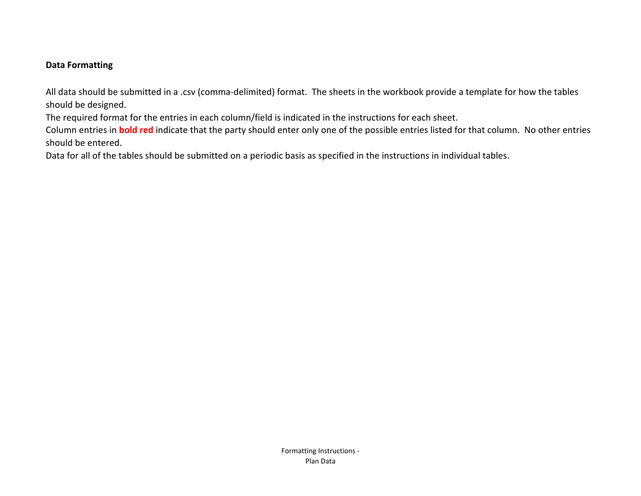# **Data Formatting**

All data should be submitted in a .csv (comma-delimited) format. The sheets in the workbook provide a template for how the tables should be designed.

The required format for the entries in each column/field is indicated in the instructions for each sheet.

Column entries in **bold red** indicate that the party should enter only one of the possible entries listed for that column. No other entries should be entered.

Data for all of the tables should be submitted on a periodic basis as specified in the instructions in individual tables.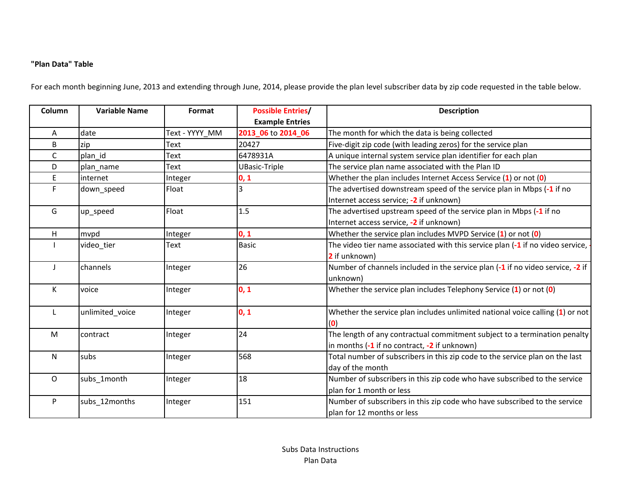## **"Plan Data" Table**

For each month beginning June, 2013 and extending through June, 2014, please provide the plan level subscriber data by zip code requested in the table below.

| Column      | <b>Variable Name</b><br>Format |                | <b>Possible Entries/</b> | <b>Description</b>                                                              |  |  |  |  |  |  |  |  |
|-------------|--------------------------------|----------------|--------------------------|---------------------------------------------------------------------------------|--|--|--|--|--|--|--|--|
|             |                                |                | <b>Example Entries</b>   |                                                                                 |  |  |  |  |  |  |  |  |
| Α           | date                           | Text - YYYY MM | 2013_06 to 2014_06       | The month for which the data is being collected                                 |  |  |  |  |  |  |  |  |
| B           | zip                            | Text           | 20427                    | Five-digit zip code (with leading zeros) for the service plan                   |  |  |  |  |  |  |  |  |
| С           | plan id                        | Text           | 6478931A                 | A unique internal system service plan identifier for each plan                  |  |  |  |  |  |  |  |  |
| D           | plan name                      | Text           | <b>UBasic-Triple</b>     | The service plan name associated with the Plan ID                               |  |  |  |  |  |  |  |  |
| E           | internet                       | Integer        | 0, 1                     | Whether the plan includes Internet Access Service $(1)$ or not $(0)$            |  |  |  |  |  |  |  |  |
| F.          | down_speed                     | Float          |                          | The advertised downstream speed of the service plan in Mbps (-1 if no           |  |  |  |  |  |  |  |  |
|             |                                |                |                          | Internet access service; -2 if unknown)                                         |  |  |  |  |  |  |  |  |
| G           | up_speed                       | Float          | 1.5                      | The advertised upstream speed of the service plan in Mbps (-1 if no             |  |  |  |  |  |  |  |  |
|             |                                |                |                          | Internet access service, -2 if unknown)                                         |  |  |  |  |  |  |  |  |
| H           | mvpd                           | Integer        | 0, 1                     | Whether the service plan includes MVPD Service $(1)$ or not $(0)$               |  |  |  |  |  |  |  |  |
|             | video tier                     | <b>Text</b>    | <b>Basic</b>             | The video tier name associated with this service plan (-1 if no video service,  |  |  |  |  |  |  |  |  |
|             |                                |                |                          | 2 if unknown)                                                                   |  |  |  |  |  |  |  |  |
|             | channels                       | Integer        | 26                       | Number of channels included in the service plan (-1 if no video service, -2 if  |  |  |  |  |  |  |  |  |
|             |                                |                |                          | unknown)                                                                        |  |  |  |  |  |  |  |  |
| К           | voice                          | Integer        | 0, 1                     | Whether the service plan includes Telephony Service $(1)$ or not $(0)$          |  |  |  |  |  |  |  |  |
|             |                                |                |                          |                                                                                 |  |  |  |  |  |  |  |  |
| L           | unlimited_voice                | Integer        | 0, 1                     | Whether the service plan includes unlimited national voice calling $(1)$ or not |  |  |  |  |  |  |  |  |
|             |                                |                |                          | (0)                                                                             |  |  |  |  |  |  |  |  |
| M           | contract                       | Integer        | 24                       | The length of any contractual commitment subject to a termination penalty       |  |  |  |  |  |  |  |  |
|             |                                |                |                          | in months (-1 if no contract, -2 if unknown)                                    |  |  |  |  |  |  |  |  |
| N           | subs                           | Integer        | 568                      | Total number of subscribers in this zip code to the service plan on the last    |  |  |  |  |  |  |  |  |
|             |                                |                |                          | day of the month                                                                |  |  |  |  |  |  |  |  |
| $\mathsf O$ | subs 1month                    | Integer        | 18                       | Number of subscribers in this zip code who have subscribed to the service       |  |  |  |  |  |  |  |  |
|             |                                |                |                          | plan for 1 month or less                                                        |  |  |  |  |  |  |  |  |
| P           | subs_12months                  | Integer        | 151                      | Number of subscribers in this zip code who have subscribed to the service       |  |  |  |  |  |  |  |  |
|             |                                |                |                          | plan for 12 months or less                                                      |  |  |  |  |  |  |  |  |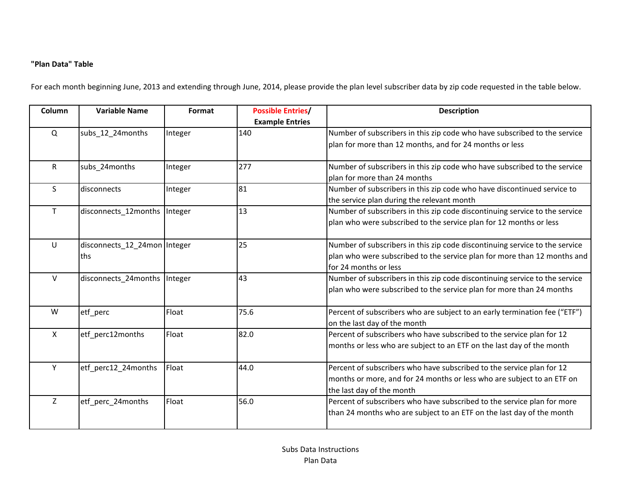# **"Plan Data" Table**

For each month beginning June, 2013 and extending through June, 2014, please provide the plan level subscriber data by zip code requested in the table below.

| Column       | <b>Variable Name</b>                | Format  | <b>Possible Entries/</b><br><b>Example Entries</b> | <b>Description</b>                                                                                                                                                               |
|--------------|-------------------------------------|---------|----------------------------------------------------|----------------------------------------------------------------------------------------------------------------------------------------------------------------------------------|
| $\Omega$     | subs_12_24months                    | Integer | 140                                                | Number of subscribers in this zip code who have subscribed to the service<br>plan for more than 12 months, and for 24 months or less                                             |
| $\mathsf{R}$ | subs 24months                       | Integer | 277                                                | Number of subscribers in this zip code who have subscribed to the service<br>plan for more than 24 months                                                                        |
| S            | disconnects                         | Integer | 81                                                 | Number of subscribers in this zip code who have discontinued service to<br>the service plan during the relevant month                                                            |
| T            | disconnects_12months  Integer       |         | 13                                                 | Number of subscribers in this zip code discontinuing service to the service<br>plan who were subscribed to the service plan for 12 months or less                                |
| U            | disconnects_12_24mon Integer<br>ths |         | 25                                                 | Number of subscribers in this zip code discontinuing service to the service<br>plan who were subscribed to the service plan for more than 12 months and<br>for 24 months or less |
| $\vee$       | disconnects_24months  Integer       |         | 43                                                 | Number of subscribers in this zip code discontinuing service to the service<br>plan who were subscribed to the service plan for more than 24 months                              |
| W            | etf_perc                            | Float   | 75.6                                               | Percent of subscribers who are subject to an early termination fee ("ETF")<br>on the last day of the month                                                                       |
| X            | etf_perc12months                    | Float   | 82.0                                               | Percent of subscribers who have subscribed to the service plan for 12<br>months or less who are subject to an ETF on the last day of the month                                   |
| Y            | etf_perc12_24months                 | Float   | 44.0                                               | Percent of subscribers who have subscribed to the service plan for 12<br>months or more, and for 24 months or less who are subject to an ETF on<br>the last day of the month     |
| Z            | etf_perc_24months                   | Float   | 56.0                                               | Percent of subscribers who have subscribed to the service plan for more<br>than 24 months who are subject to an ETF on the last day of the month                                 |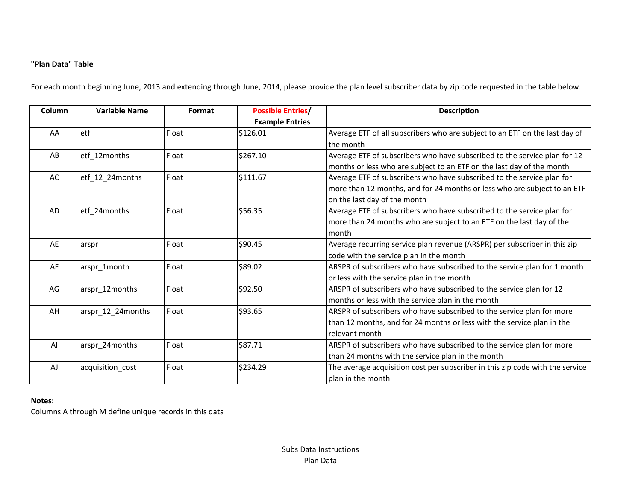## **"Plan Data" Table**

For each month beginning June, 2013 and extending through June, 2014, please provide the plan level subscriber data by zip code requested in the table below.

| Column | <b>Variable Name</b> | Format | <b>Possible Entries/</b> | <b>Description</b>                                                            |
|--------|----------------------|--------|--------------------------|-------------------------------------------------------------------------------|
|        |                      |        | <b>Example Entries</b>   |                                                                               |
| AA     | etf                  | Float  | \$126.01                 | Average ETF of all subscribers who are subject to an ETF on the last day of   |
|        |                      |        |                          | the month                                                                     |
| AB     | etf_12months         | Float  | \$267.10                 | Average ETF of subscribers who have subscribed to the service plan for 12     |
|        |                      |        |                          | months or less who are subject to an ETF on the last day of the month         |
| AC     | etf_12_24months      | Float  | \$111.67                 | Average ETF of subscribers who have subscribed to the service plan for        |
|        |                      |        |                          | more than 12 months, and for 24 months or less who are subject to an ETF      |
|        |                      |        |                          | on the last day of the month                                                  |
| AD     | etf_24months         | Float  | \$56.35                  | Average ETF of subscribers who have subscribed to the service plan for        |
|        |                      |        |                          | more than 24 months who are subject to an ETF on the last day of the          |
|        |                      |        |                          | month                                                                         |
| AE     | arspr                | Float  | \$90.45                  | Average recurring service plan revenue (ARSPR) per subscriber in this zip     |
|        |                      |        |                          | code with the service plan in the month                                       |
| AF     | arspr_1month         | Float  | \$89.02                  | ARSPR of subscribers who have subscribed to the service plan for 1 month      |
|        |                      |        |                          | or less with the service plan in the month                                    |
| AG     | arspr_12months       | Float  | \$92.50                  | ARSPR of subscribers who have subscribed to the service plan for 12           |
|        |                      |        |                          | months or less with the service plan in the month                             |
| AH     | arspr_12_24months    | Float  | \$93.65                  | ARSPR of subscribers who have subscribed to the service plan for more         |
|        |                      |        |                          | than 12 months, and for 24 months or less with the service plan in the        |
|        |                      |        |                          | relevant month                                                                |
| AI     | arspr_24months       | Float  | \$87.71                  | ARSPR of subscribers who have subscribed to the service plan for more         |
|        |                      |        |                          | than 24 months with the service plan in the month                             |
| AJ     | acquisition_cost     | Float  | \$234.29                 | The average acquisition cost per subscriber in this zip code with the service |
|        |                      |        |                          | plan in the month                                                             |

#### **Notes:**

Columns A through M define unique records in this data